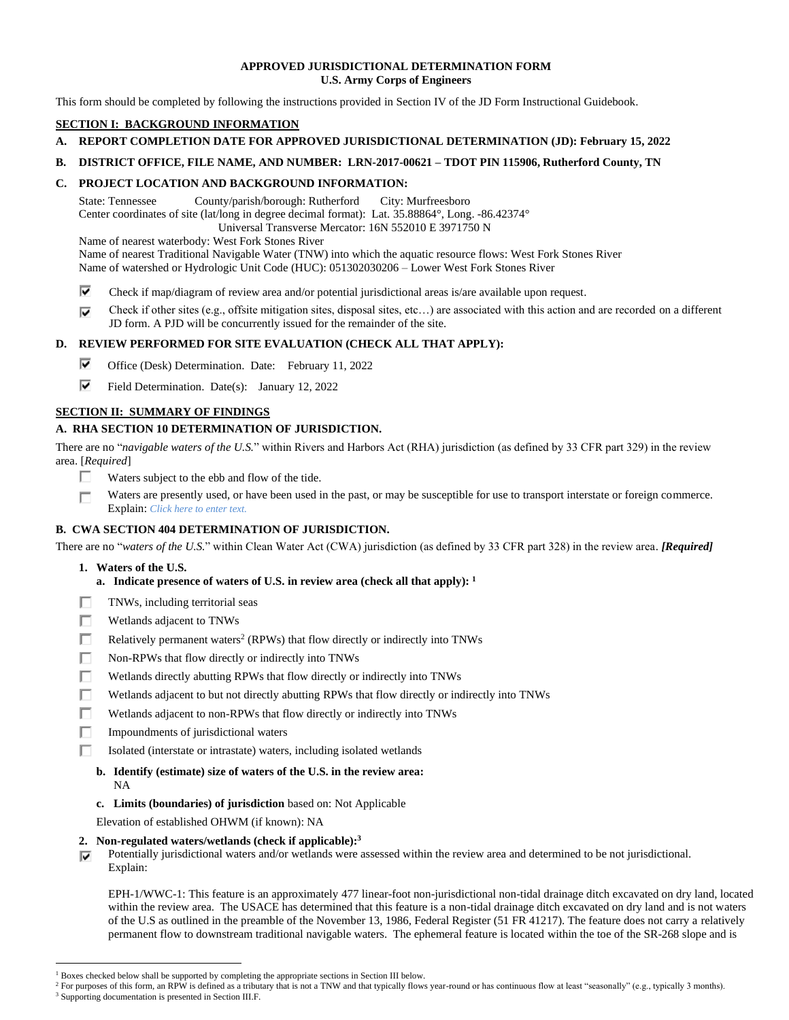## **APPROVED JURISDICTIONAL DETERMINATION FORM U.S. Army Corps of Engineers**

This form should be completed by following the instructions provided in Section IV of the JD Form Instructional Guidebook.

## **SECTION I: BACKGROUND INFORMATION**

- **A. REPORT COMPLETION DATE FOR APPROVED JURISDICTIONAL DETERMINATION (JD): February 15, 2022**
- **B. DISTRICT OFFICE, FILE NAME, AND NUMBER: LRN-2017-00621 – TDOT PIN 115906, Rutherford County, TN**

## **C. PROJECT LOCATION AND BACKGROUND INFORMATION:**

State: Tennessee County/parish/borough: Rutherford City: Murfreesboro Center coordinates of site (lat/long in degree decimal format): Lat. 35.88864°, Long. -86.42374° Universal Transverse Mercator: 16N 552010 E 3971750 N

Name of nearest waterbody: West Fork Stones River

Name of nearest Traditional Navigable Water (TNW) into which the aquatic resource flows: West Fork Stones River Name of watershed or Hydrologic Unit Code (HUC): 051302030206 – Lower West Fork Stones River

- ⊽ Check if map/diagram of review area and/or potential jurisdictional areas is/are available upon request.
- Check if other sites (e.g., offsite mitigation sites, disposal sites, etc…) are associated with this action and are recorded on a different ⊽ JD form. A PJD will be concurrently issued for the remainder of the site.

## **D. REVIEW PERFORMED FOR SITE EVALUATION (CHECK ALL THAT APPLY):**

- ⊽ Office (Desk) Determination. Date: February 11, 2022
- ⊽ Field Determination. Date(s): January 12, 2022

## **SECTION II: SUMMARY OF FINDINGS**

## **A. RHA SECTION 10 DETERMINATION OF JURISDICTION.**

There are no "*navigable waters of the U.S.*" within Rivers and Harbors Act (RHA) jurisdiction (as defined by 33 CFR part 329) in the review area. [*Required*]

- п. Waters subject to the ebb and flow of the tide.
- Waters are presently used, or have been used in the past, or may be susceptible for use to transport interstate or foreign commerce. п Explain: *Click here to enter text.*

# **B. CWA SECTION 404 DETERMINATION OF JURISDICTION.**

There are no "*waters of the U.S.*" within Clean Water Act (CWA) jurisdiction (as defined by 33 CFR part 328) in the review area. *[Required]*

- **1. Waters of the U.S.**
	- **a. Indicate presence of waters of U.S. in review area (check all that apply): 1**
- П TNWs, including territorial seas
- П. Wetlands adjacent to TNWs
- П. Relatively permanent waters<sup>2</sup> (RPWs) that flow directly or indirectly into TNWs
- П. Non-RPWs that flow directly or indirectly into TNWs
- п Wetlands directly abutting RPWs that flow directly or indirectly into TNWs
- П Wetlands adjacent to but not directly abutting RPWs that flow directly or indirectly into TNWs
- П. Wetlands adjacent to non-RPWs that flow directly or indirectly into TNWs
- П. Impoundments of jurisdictional waters
- П. Isolated (interstate or intrastate) waters, including isolated wetlands
	- **b. Identify (estimate) size of waters of the U.S. in the review area:**
		- NA
	- **c. Limits (boundaries) of jurisdiction** based on: Not Applicable

Elevation of established OHWM (if known): NA

- **2. Non-regulated waters/wetlands (check if applicable): 3**
- Potentially jurisdictional waters and/or wetlands were assessed within the review area and determined to be not jurisdictional. ⊽ Explain:

EPH-1/WWC-1: This feature is an approximately 477 linear-foot non-jurisdictional non-tidal drainage ditch excavated on dry land, located within the review area. The USACE has determined that this feature is a non-tidal drainage ditch excavated on dry land and is not waters of the U.S as outlined in the preamble of the November 13, 1986, Federal Register (51 FR 41217). The feature does not carry a relatively permanent flow to downstream traditional navigable waters. The ephemeral feature is located within the toe of the SR-268 slope and is

<sup>&</sup>lt;sup>1</sup> Boxes checked below shall be supported by completing the appropriate sections in Section III below.

<sup>&</sup>lt;sup>2</sup> For purposes of this form, an RPW is defined as a tributary that is not a TNW and that typically flows year-round or has continuous flow at least "seasonally" (e.g., typically 3 months). <sup>3</sup> Supporting documentation is presented in Section III.F.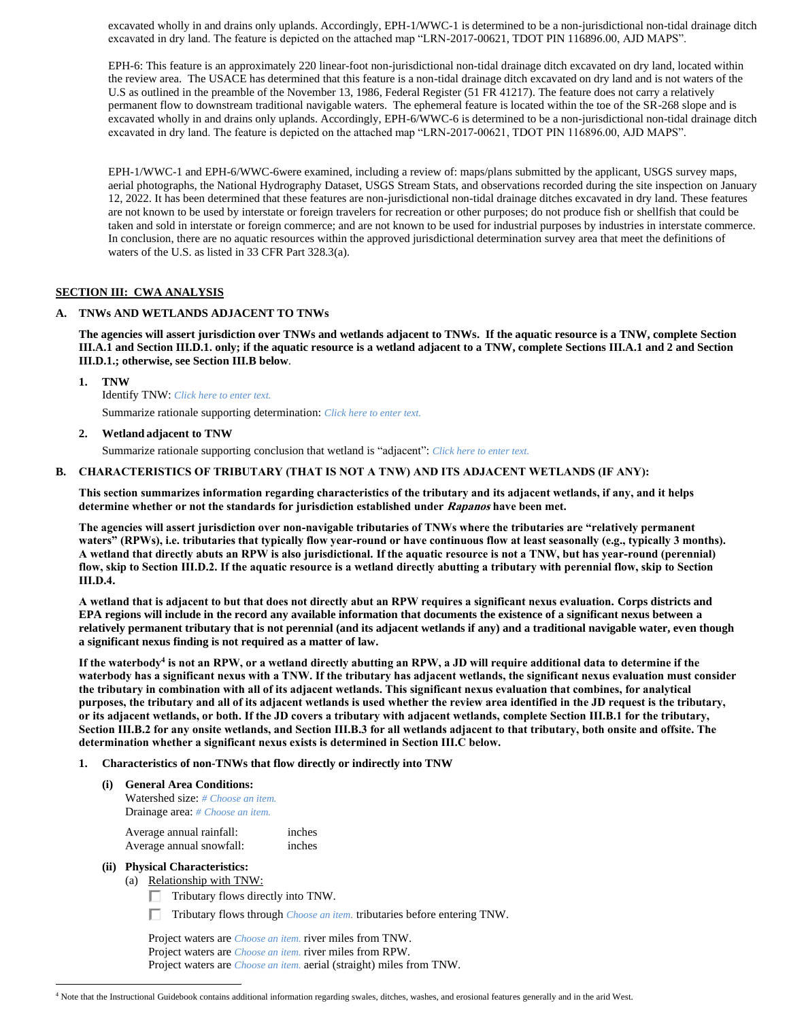excavated wholly in and drains only uplands. Accordingly, EPH-1/WWC-1 is determined to be a non-jurisdictional non-tidal drainage ditch excavated in dry land. The feature is depicted on the attached map "LRN-2017-00621, TDOT PIN 116896.00, AJD MAPS".

EPH-6: This feature is an approximately 220 linear-foot non-jurisdictional non-tidal drainage ditch excavated on dry land, located within the review area. The USACE has determined that this feature is a non-tidal drainage ditch excavated on dry land and is not waters of the U.S as outlined in the preamble of the November 13, 1986, Federal Register (51 FR 41217). The feature does not carry a relatively permanent flow to downstream traditional navigable waters. The ephemeral feature is located within the toe of the SR-268 slope and is excavated wholly in and drains only uplands. Accordingly, EPH-6/WWC-6 is determined to be a non-jurisdictional non-tidal drainage ditch excavated in dry land. The feature is depicted on the attached map "LRN-2017-00621, TDOT PIN 116896.00, AJD MAPS".

EPH-1/WWC-1 and EPH-6/WWC-6were examined, including a review of: maps/plans submitted by the applicant, USGS survey maps, aerial photographs, the National Hydrography Dataset, USGS Stream Stats, and observations recorded during the site inspection on January 12, 2022. It has been determined that these features are non-jurisdictional non-tidal drainage ditches excavated in dry land. These features are not known to be used by interstate or foreign travelers for recreation or other purposes; do not produce fish or shellfish that could be taken and sold in interstate or foreign commerce; and are not known to be used for industrial purposes by industries in interstate commerce. In conclusion, there are no aquatic resources within the approved jurisdictional determination survey area that meet the definitions of waters of the U.S. as listed in 33 CFR Part 328.3(a).

# **SECTION III: CWA ANALYSIS**

### **A. TNWs AND WETLANDS ADJACENT TO TNWs**

**The agencies will assert jurisdiction over TNWs and wetlands adjacent to TNWs. If the aquatic resource is a TNW, complete Section III.A.1 and Section III.D.1. only; if the aquatic resource is a wetland adjacent to a TNW, complete Sections III.A.1 and 2 and Section III.D.1.; otherwise, see Section III.B below**.

**1. TNW** 

Identify TNW: *Click here to enter text.*

Summarize rationale supporting determination: *Click here to enter text.*

### **2. Wetland adjacent to TNW**

Summarize rationale supporting conclusion that wetland is "adjacent": *Click here to enter text.*

### **B. CHARACTERISTICS OF TRIBUTARY (THAT IS NOT A TNW) AND ITS ADJACENT WETLANDS (IF ANY):**

**This section summarizes information regarding characteristics of the tributary and its adjacent wetlands, if any, and it helps determine whether or not the standards for jurisdiction established under Rapanos have been met.** 

**The agencies will assert jurisdiction over non-navigable tributaries of TNWs where the tributaries are "relatively permanent waters" (RPWs), i.e. tributaries that typically flow year-round or have continuous flow at least seasonally (e.g., typically 3 months). A wetland that directly abuts an RPW is also jurisdictional. If the aquatic resource is not a TNW, but has year-round (perennial) flow, skip to Section III.D.2. If the aquatic resource is a wetland directly abutting a tributary with perennial flow, skip to Section III.D.4.**

**A wetland that is adjacent to but that does not directly abut an RPW requires a significant nexus evaluation. Corps districts and EPA regions will include in the record any available information that documents the existence of a significant nexus between a relatively permanent tributary that is not perennial (and its adjacent wetlands if any) and a traditional navigable water, even though a significant nexus finding is not required as a matter of law.**

**If the waterbody<sup>4</sup> is not an RPW, or a wetland directly abutting an RPW, a JD will require additional data to determine if the waterbody has a significant nexus with a TNW. If the tributary has adjacent wetlands, the significant nexus evaluation must consider the tributary in combination with all of its adjacent wetlands. This significant nexus evaluation that combines, for analytical purposes, the tributary and all of its adjacent wetlands is used whether the review area identified in the JD request is the tributary, or its adjacent wetlands, or both. If the JD covers a tributary with adjacent wetlands, complete Section III.B.1 for the tributary, Section III.B.2 for any onsite wetlands, and Section III.B.3 for all wetlands adjacent to that tributary, both onsite and offsite. The determination whether a significant nexus exists is determined in Section III.C below.**

### **1. Characteristics of non-TNWs that flow directly or indirectly into TNW**

| (i) | <b>General Area Conditions:</b>                 |        |  |  |
|-----|-------------------------------------------------|--------|--|--|
|     | <b>Watershed size:</b> # <i>Choose an item.</i> |        |  |  |
|     | <b>Drainage area:</b> # <i>Choose an item.</i>  |        |  |  |
|     | Average annual rainfall:                        | inches |  |  |

Average annual snowfall: inches

### **(ii) Physical Characteristics:**

- (a) Relationship with TNW:
	- $\Box$  Tributary flows directly into TNW.
	- Tributary flows through *Choose an item.* tributaries before entering TNW.

Project waters are *Choose an item.* river miles from TNW. Project waters are *Choose an item.* river miles from RPW. Project waters are *Choose an item.* aerial (straight) miles from TNW.

<sup>4</sup> Note that the Instructional Guidebook contains additional information regarding swales, ditches, washes, and erosional features generally and in the arid West.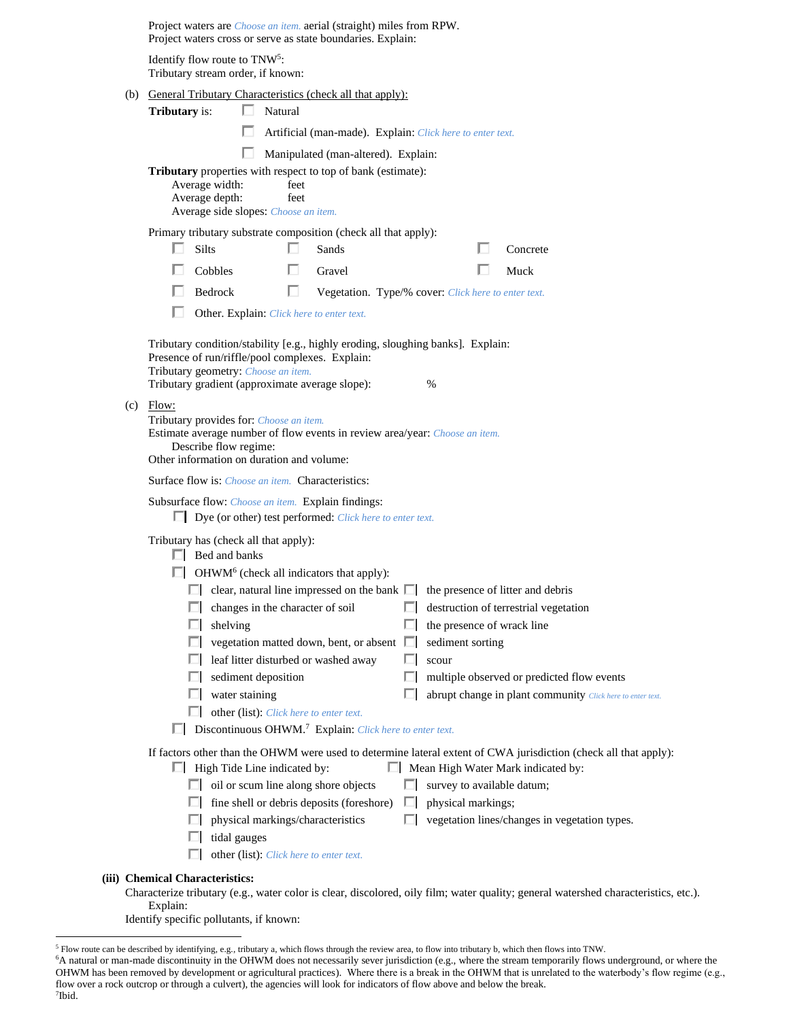|                                                                                | Project waters are <i>Choose an item.</i> aerial (straight) miles from RPW.<br>Project waters cross or serve as state boundaries. Explain:      |                                                            |  |  |  |  |  |
|--------------------------------------------------------------------------------|-------------------------------------------------------------------------------------------------------------------------------------------------|------------------------------------------------------------|--|--|--|--|--|
| Identify flow route to TNW <sup>5</sup> :<br>Tributary stream order, if known: |                                                                                                                                                 |                                                            |  |  |  |  |  |
|                                                                                | (b) General Tributary Characteristics (check all that apply):                                                                                   |                                                            |  |  |  |  |  |
|                                                                                | <b>Tributary</b> is:<br>$\Box$ Natural                                                                                                          |                                                            |  |  |  |  |  |
|                                                                                | Artificial (man-made). Explain: Click here to enter text.                                                                                       |                                                            |  |  |  |  |  |
|                                                                                | Manipulated (man-altered). Explain:                                                                                                             |                                                            |  |  |  |  |  |
|                                                                                | <b>Tributary</b> properties with respect to top of bank (estimate):                                                                             |                                                            |  |  |  |  |  |
|                                                                                | Average width:<br>feet<br>Average depth:<br>feet                                                                                                |                                                            |  |  |  |  |  |
|                                                                                | Average side slopes: Choose an item.                                                                                                            |                                                            |  |  |  |  |  |
|                                                                                | Primary tributary substrate composition (check all that apply):                                                                                 |                                                            |  |  |  |  |  |
|                                                                                | <b>Silts</b><br>Sands                                                                                                                           | Concrete                                                   |  |  |  |  |  |
|                                                                                | п<br>Cobbles<br>Gravel                                                                                                                          | Muck                                                       |  |  |  |  |  |
|                                                                                | п<br>Bedrock<br>Vegetation. Type/% cover: Click here to enter text.                                                                             |                                                            |  |  |  |  |  |
|                                                                                | Other. Explain: Click here to enter text.                                                                                                       |                                                            |  |  |  |  |  |
|                                                                                | Tributary condition/stability [e.g., highly eroding, sloughing banks]. Explain:                                                                 |                                                            |  |  |  |  |  |
|                                                                                | Presence of run/riffle/pool complexes. Explain:                                                                                                 |                                                            |  |  |  |  |  |
|                                                                                | Tributary geometry: Choose an item.                                                                                                             |                                                            |  |  |  |  |  |
|                                                                                | Tributary gradient (approximate average slope):<br>$\%$                                                                                         |                                                            |  |  |  |  |  |
|                                                                                | $(c)$ Flow:                                                                                                                                     |                                                            |  |  |  |  |  |
|                                                                                | Tributary provides for: Choose an item.<br>Estimate average number of flow events in review area/year: Choose an item.                          |                                                            |  |  |  |  |  |
|                                                                                | Describe flow regime:                                                                                                                           |                                                            |  |  |  |  |  |
|                                                                                | Other information on duration and volume:                                                                                                       |                                                            |  |  |  |  |  |
| Surface flow is: <i>Choose an item.</i> Characteristics:                       |                                                                                                                                                 |                                                            |  |  |  |  |  |
|                                                                                | Subsurface flow: Choose an item. Explain findings:                                                                                              |                                                            |  |  |  |  |  |
|                                                                                | $\Box$ Dye (or other) test performed: <i>Click here to enter text.</i>                                                                          |                                                            |  |  |  |  |  |
|                                                                                | Tributary has (check all that apply):                                                                                                           |                                                            |  |  |  |  |  |
|                                                                                | $\Box$ Bed and banks                                                                                                                            |                                                            |  |  |  |  |  |
|                                                                                | $\Box$ OHWM <sup>6</sup> (check all indicators that apply):                                                                                     |                                                            |  |  |  |  |  |
|                                                                                | clear, natural line impressed on the bank $\Box$ the presence of litter and debris                                                              |                                                            |  |  |  |  |  |
|                                                                                | changes in the character of soil                                                                                                                | destruction of terrestrial vegetation                      |  |  |  |  |  |
|                                                                                | the presence of wrack line<br>shelving                                                                                                          |                                                            |  |  |  |  |  |
|                                                                                | sediment sorting<br>vegetation matted down, bent, or absent<br>$\Box$                                                                           |                                                            |  |  |  |  |  |
|                                                                                | leaf litter disturbed or washed away<br>scour<br>sediment deposition<br>ш<br>ш                                                                  | multiple observed or predicted flow events                 |  |  |  |  |  |
|                                                                                | water staining<br>г<br>ш                                                                                                                        | abrupt change in plant community Click here to enter text. |  |  |  |  |  |
|                                                                                | other (list): Click here to enter text.<br>ш                                                                                                    |                                                            |  |  |  |  |  |
|                                                                                | Discontinuous OHWM. <sup>7</sup> Explain: Click here to enter text.                                                                             |                                                            |  |  |  |  |  |
|                                                                                | If factors other than the OHWM were used to determine lateral extent of CWA jurisdiction (check all that apply):                                |                                                            |  |  |  |  |  |
|                                                                                | Mean High Water Mark indicated by:<br>$\Box$ High Tide Line indicated by:                                                                       |                                                            |  |  |  |  |  |
|                                                                                | oil or scum line along shore objects<br>survey to available datum;                                                                              |                                                            |  |  |  |  |  |
|                                                                                | fine shell or debris deposits (foreshore)<br>physical markings;<br>ш<br>ш                                                                       |                                                            |  |  |  |  |  |
|                                                                                | physical markings/characteristics<br>ш                                                                                                          | vegetation lines/changes in vegetation types.              |  |  |  |  |  |
|                                                                                | tidal gauges                                                                                                                                    |                                                            |  |  |  |  |  |
|                                                                                | other (list): Click here to enter text.                                                                                                         |                                                            |  |  |  |  |  |
|                                                                                | <b>Chemical Characteristics:</b>                                                                                                                |                                                            |  |  |  |  |  |
|                                                                                | Characterize tributary (e.g., water color is clear, discolored, oily film; water quality; general watershed characteristics, etc.).<br>Explain: |                                                            |  |  |  |  |  |

Identify specific pollutants, if known:

**(iii)** 

<sup>5</sup> Flow route can be described by identifying, e.g., tributary a, which flows through the review area, to flow into tributary b, which then flows into TNW.

<sup>&</sup>lt;sup>6</sup>A natural or man-made discontinuity in the OHWM does not necessarily sever jurisdiction (e.g., where the stream temporarily flows underground, or where the OHWM has been removed by development or agricultural practices). Where there is a break in the OHWM that is unrelated to the waterbody's flow regime (e.g., flow over a rock outcrop or through a culvert), the agencies will look for indicators of flow above and below the break.

<sup>7</sup> Ibid.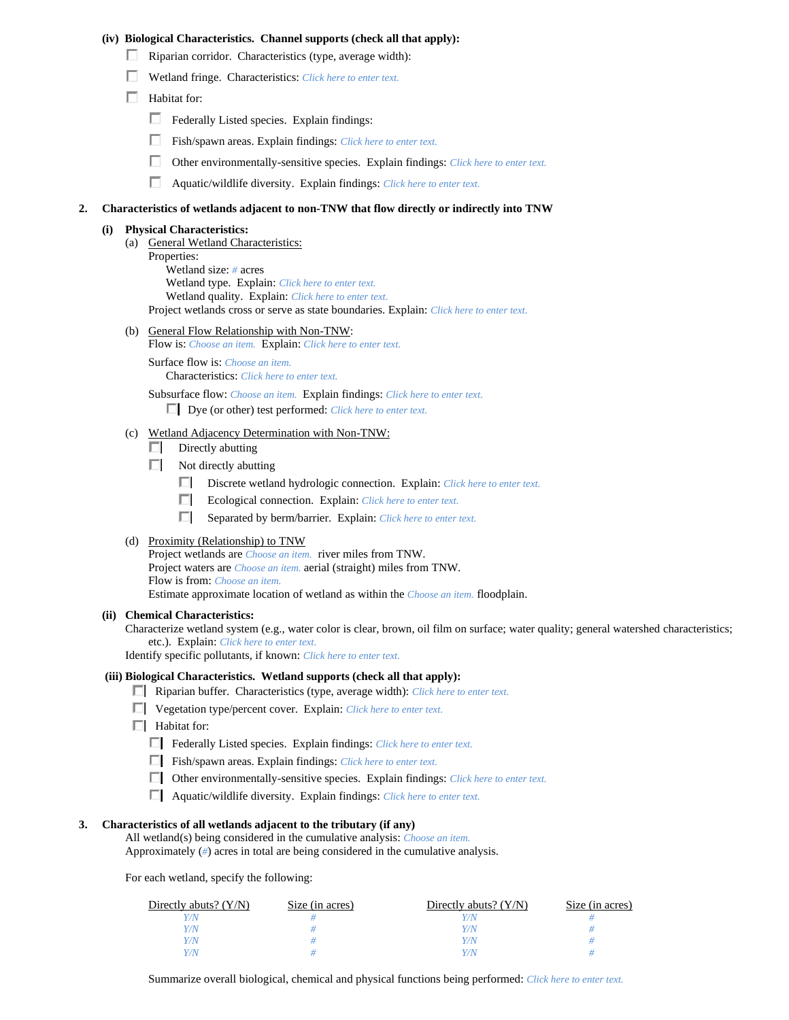### **(iv) Biological Characteristics. Channel supports (check all that apply):**

- Riparian corridor. Characteristics (type, average width):
- Wetland fringe. Characteristics: *Click here to enter text.*
- $\Box$  Habitat for:
	- Federally Listed species. Explain findings:
	- Fish/spawn areas. Explain findings: *Click here to enter text.*
	- Other environmentally-sensitive species. Explain findings: *Click here to enter text.*
	- Aquatic/wildlife diversity. Explain findings: *Click here to enter text.*

#### **2. Characteristics of wetlands adjacent to non-TNW that flow directly or indirectly into TNW**

### **(i) Physical Characteristics:**

- (a) General Wetland Characteristics:
	- Properties:

Wetland size: *#* acres Wetland type. Explain: *Click here to enter text.* Wetland quality. Explain: *Click here to enter text.* Project wetlands cross or serve as state boundaries. Explain: *Click here to enter text.*

(b) General Flow Relationship with Non-TNW:

Flow is: *Choose an item.* Explain: *Click here to enter text.*

Surface flow is: *Choose an item.*

Characteristics: *Click here to enter text.*

Subsurface flow: *Choose an item.* Explain findings: *Click here to enter text.*

Dye (or other) test performed: *Click here to enter text.*

- (c) Wetland Adjacency Determination with Non-TNW:
	- $\Box$  Directly abutting
	- $\Box$  Not directly abutting
		- Discrete wetland hydrologic connection. Explain: *Click here to enter text.*
		- Ecological connection. Explain: *Click here to enter text*.
		- Separated by berm/barrier. Explain: *Click here to enter text.*

### (d) Proximity (Relationship) to TNW

Project wetlands are *Choose an item.* river miles from TNW. Project waters are *Choose an item.* aerial (straight) miles from TNW. Flow is from: *Choose an item.* Estimate approximate location of wetland as within the *Choose an item.* floodplain.

### **(ii) Chemical Characteristics:**

Characterize wetland system (e.g., water color is clear, brown, oil film on surface; water quality; general watershed characteristics; etc.). Explain: *Click here to enter text.*

Identify specific pollutants, if known: *Click here to enter text.*

### **(iii) Biological Characteristics. Wetland supports (check all that apply):**

- Riparian buffer. Characteristics (type, average width): *Click here to enter text.*
- Vegetation type/percent cover. Explain: *Click here to enter text.*
- $\Box$  Habitat for:
	- Federally Listed species. Explain findings: *Click here to enter text*.
	- Fish/spawn areas. Explain findings: *Click here to enter text.*
	- Other environmentally-sensitive species. Explain findings: *Click here to enter text.*
	- Aquatic/wildlife diversity. Explain findings: *Click here to enter text.*

#### **3. Characteristics of all wetlands adjacent to the tributary (if any)**

All wetland(s) being considered in the cumulative analysis: *Choose an item.* Approximately (*#*) acres in total are being considered in the cumulative analysis.

For each wetland, specify the following:

| Directly abuts? $(Y/N)$ | Size (in acres) | Directly abuts? $(Y/N)$ | Size (in acres) |
|-------------------------|-----------------|-------------------------|-----------------|
|                         |                 |                         |                 |
| Y/N                     |                 | Y/N                     |                 |
| Y/N                     |                 | Y/N                     |                 |
|                         |                 | V / N/                  |                 |

Summarize overall biological, chemical and physical functions being performed: *Click here to enter text.*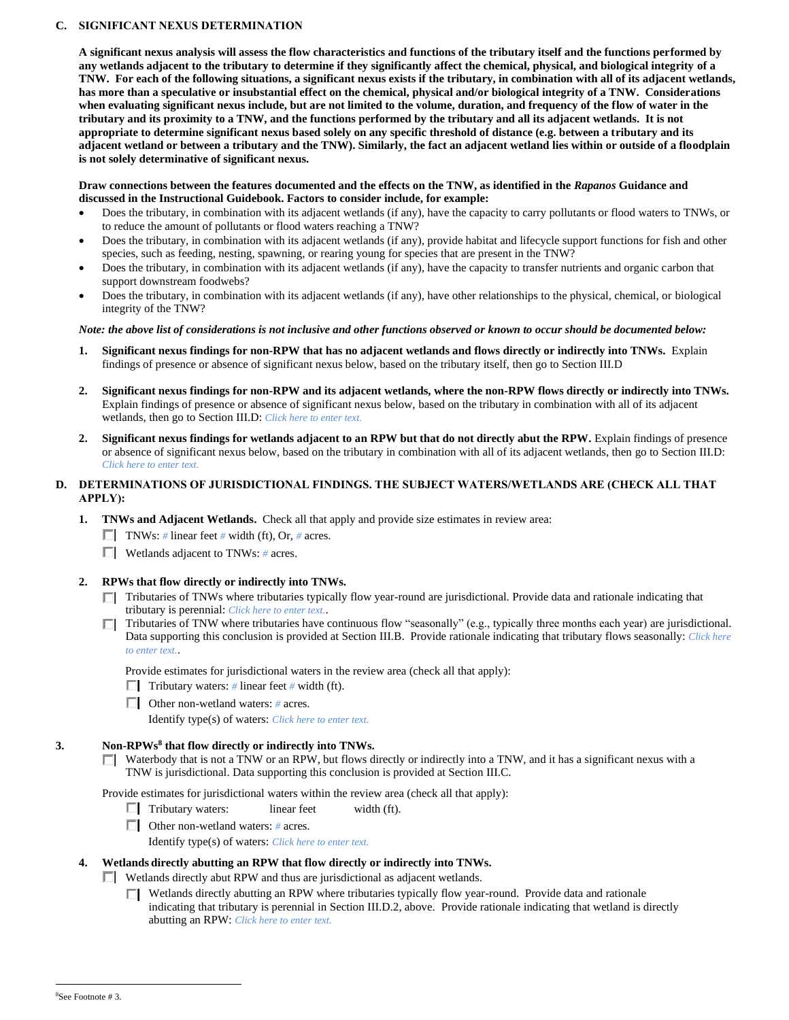## **C. SIGNIFICANT NEXUS DETERMINATION**

**A significant nexus analysis will assess the flow characteristics and functions of the tributary itself and the functions performed by any wetlands adjacent to the tributary to determine if they significantly affect the chemical, physical, and biological integrity of a TNW. For each of the following situations, a significant nexus exists if the tributary, in combination with all of its adjacent wetlands, has more than a speculative or insubstantial effect on the chemical, physical and/or biological integrity of a TNW. Considerations when evaluating significant nexus include, but are not limited to the volume, duration, and frequency of the flow of water in the tributary and its proximity to a TNW, and the functions performed by the tributary and all its adjacent wetlands. It is not appropriate to determine significant nexus based solely on any specific threshold of distance (e.g. between a tributary and its adjacent wetland or between a tributary and the TNW). Similarly, the fact an adjacent wetland lies within or outside of a floodplain is not solely determinative of significant nexus.** 

### **Draw connections between the features documented and the effects on the TNW, as identified in the** *Rapanos* **Guidance and discussed in the Instructional Guidebook. Factors to consider include, for example:**

- Does the tributary, in combination with its adjacent wetlands (if any), have the capacity to carry pollutants or flood waters to TNWs, or to reduce the amount of pollutants or flood waters reaching a TNW?
- Does the tributary, in combination with its adjacent wetlands (if any), provide habitat and lifecycle support functions for fish and other species, such as feeding, nesting, spawning, or rearing young for species that are present in the TNW?
- Does the tributary, in combination with its adjacent wetlands (if any), have the capacity to transfer nutrients and organic carbon that support downstream foodwebs?
- Does the tributary, in combination with its adjacent wetlands (if any), have other relationships to the physical, chemical, or biological integrity of the TNW?

### *Note: the above list of considerations is not inclusive and other functions observed or known to occur should be documented below:*

- **1. Significant nexus findings for non-RPW that has no adjacent wetlands and flows directly or indirectly into TNWs.** Explain findings of presence or absence of significant nexus below, based on the tributary itself, then go to Section III.D
- **2. Significant nexus findings for non-RPW and its adjacent wetlands, where the non-RPW flows directly or indirectly into TNWs.**  Explain findings of presence or absence of significant nexus below, based on the tributary in combination with all of its adjacent wetlands, then go to Section III.D: *Click here to enter text.*
- **2. Significant nexus findings for wetlands adjacent to an RPW but that do not directly abut the RPW.** Explain findings of presence or absence of significant nexus below, based on the tributary in combination with all of its adjacent wetlands, then go to Section III.D: *Click here to enter text.*

### **D. DETERMINATIONS OF JURISDICTIONAL FINDINGS. THE SUBJECT WATERS/WETLANDS ARE (CHECK ALL THAT APPLY):**

- **1. TNWs and Adjacent Wetlands.** Check all that apply and provide size estimates in review area:
	- $\Box$  TNWs: # linear feet # width (ft), Or, # acres.
	- Wetlands adjacent to TNWs: *#* acres.

## **2. RPWs that flow directly or indirectly into TNWs.**

- Tributaries of TNWs where tributaries typically flow year-round are jurisdictional. Provide data and rationale indicating that tributary is perennial: *Click here to enter text.*.
- Tributaries of TNW where tributaries have continuous flow "seasonally" (e.g., typically three months each year) are jurisdictional. Data supporting this conclusion is provided at Section III.B. Provide rationale indicating that tributary flows seasonally: *Click here to enter text.*.

Provide estimates for jurisdictional waters in the review area (check all that apply):

- $\Box$  Tributary waters: # linear feet # width (ft).
- Other non-wetland waters: *#* acres.

Identify type(s) of waters: *Click here to enter text.*

## **3. Non-RPWs<sup>8</sup> that flow directly or indirectly into TNWs.**

 $\Box$  Waterbody that is not a TNW or an RPW, but flows directly or indirectly into a TNW, and it has a significant nexus with a TNW is jurisdictional. Data supporting this conclusion is provided at Section III.C.

Provide estimates for jurisdictional waters within the review area (check all that apply):

- $\Box$  Tributary waters: linear feet width (ft).
- Other non-wetland waters: *#* acres.

Identify type(s) of waters: *Click here to enter text.*

## **4. Wetlands directly abutting an RPW that flow directly or indirectly into TNWs.**

- Wetlands directly abut RPW and thus are jurisdictional as adjacent wetlands.
	- Wetlands directly abutting an RPW where tributaries typically flow year-round. Provide data and rationale П. indicating that tributary is perennial in Section III.D.2, above. Provide rationale indicating that wetland is directly abutting an RPW: *Click here to enter text.*

<sup>8</sup>See Footnote # 3.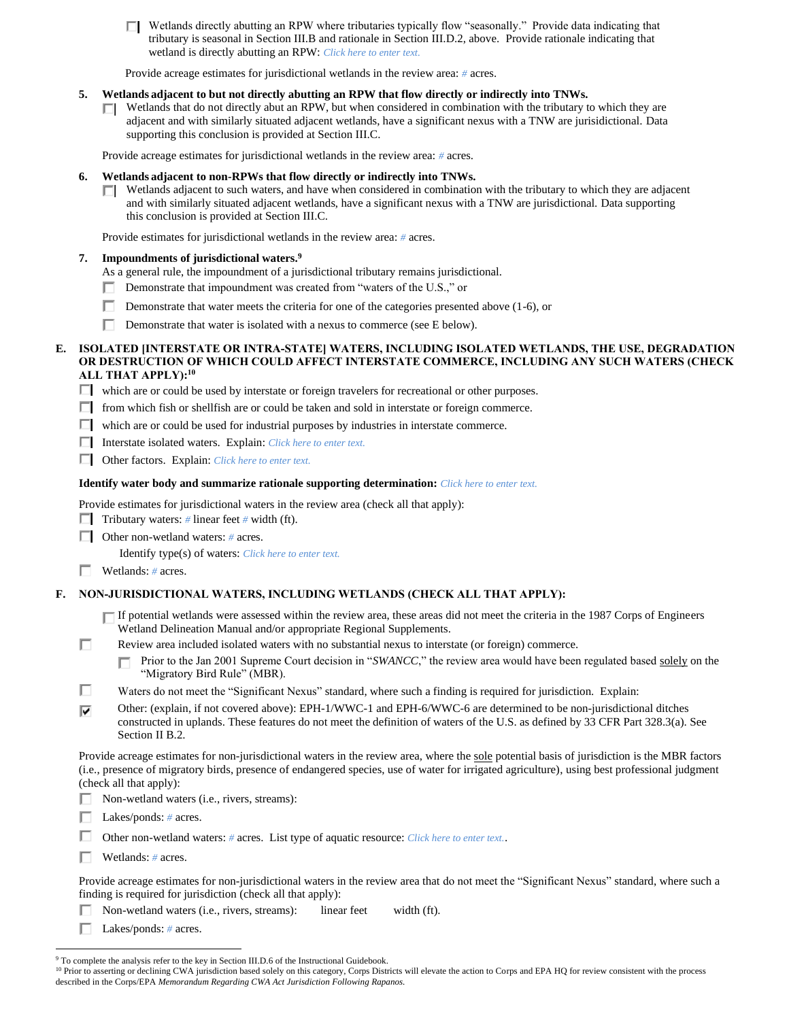Wetlands directly abutting an RPW where tributaries typically flow "seasonally." Provide data indicating that tributary is seasonal in Section III.B and rationale in Section III.D.2, above. Provide rationale indicating that wetland is directly abutting an RPW: *Click here to enter text.*

Provide acreage estimates for jurisdictional wetlands in the review area: *#* acres.

### **5. Wetlands adjacent to but not directly abutting an RPW that flow directly or indirectly into TNWs.**

Wetlands that do not directly abut an RPW, but when considered in combination with the tributary to which they are П. adjacent and with similarly situated adjacent wetlands, have a significant nexus with a TNW are jurisidictional. Data supporting this conclusion is provided at Section III.C.

Provide acreage estimates for jurisdictional wetlands in the review area: *#* acres.

### **6. Wetlands adjacent to non-RPWs that flow directly or indirectly into TNWs.**

 $\Box$  Wetlands adjacent to such waters, and have when considered in combination with the tributary to which they are adjacent and with similarly situated adjacent wetlands, have a significant nexus with a TNW are jurisdictional. Data supporting this conclusion is provided at Section III.C.

Provide estimates for jurisdictional wetlands in the review area: *#* acres.

### **7. Impoundments of jurisdictional waters. 9**

- As a general rule, the impoundment of a jurisdictional tributary remains jurisdictional.
- Demonstrate that impoundment was created from "waters of the U.S.," or
- Demonstrate that water meets the criteria for one of the categories presented above (1-6), or
- Г Demonstrate that water is isolated with a nexus to commerce (see E below).

### **E. ISOLATED [INTERSTATE OR INTRA-STATE] WATERS, INCLUDING ISOLATED WETLANDS, THE USE, DEGRADATION OR DESTRUCTION OF WHICH COULD AFFECT INTERSTATE COMMERCE, INCLUDING ANY SUCH WATERS (CHECK ALL THAT APPLY):<sup>10</sup>**

 $\Box$  which are or could be used by interstate or foreign travelers for recreational or other purposes.

- $\Box$  from which fish or shellfish are or could be taken and sold in interstate or foreign commerce.
- $\Box$  which are or could be used for industrial purposes by industries in interstate commerce.
- Interstate isolated waters.Explain: *Click here to enter text.*
- Other factors.Explain: *Click here to enter text.*

### **Identify water body and summarize rationale supporting determination:** *Click here to enter text.*

Provide estimates for jurisdictional waters in the review area (check all that apply):

- $\Box$  Tributary waters: *#* linear feet *#* width (ft).
- Other non-wetland waters: *#* acres.

Identify type(s) of waters: *Click here to enter text.*

### Wetlands: *#* acres.

# **F. NON-JURISDICTIONAL WATERS, INCLUDING WETLANDS (CHECK ALL THAT APPLY):**

- $\Box$  If potential wetlands were assessed within the review area, these areas did not meet the criteria in the 1987 Corps of Engineers Wetland Delineation Manual and/or appropriate Regional Supplements.
- П Review area included isolated waters with no substantial nexus to interstate (or foreign) commerce.
	- Prior to the Jan 2001 Supreme Court decision in "*SWANCC*," the review area would have been regulated based solely on the П "Migratory Bird Rule" (MBR).
- п Waters do not meet the "Significant Nexus" standard, where such a finding is required for jurisdiction. Explain:
- Other: (explain, if not covered above): EPH-1/WWC-1 and EPH-6/WWC-6 are determined to be non-jurisdictional ditches ⊽ constructed in uplands. These features do not meet the definition of waters of the U.S. as defined by 33 CFR Part 328.3(a). See Section II B.2.

Provide acreage estimates for non-jurisdictional waters in the review area, where the sole potential basis of jurisdiction is the MBR factors (i.e., presence of migratory birds, presence of endangered species, use of water for irrigated agriculture), using best professional judgment (check all that apply):

Non-wetland waters (i.e., rivers, streams): П.

Lakes/ponds: *#* acres. Е

п Other non-wetland waters: *#* acres. List type of aquatic resource: *Click here to enter text.*.

П. Wetlands: *#* acres.

Provide acreage estimates for non-jurisdictional waters in the review area that do not meet the "Significant Nexus" standard, where such a finding is required for jurisdiction (check all that apply):

п Non-wetland waters (i.e., rivers, streams): linear feet width (ft).

Lakes/ponds: *#* acres.

<sup>&</sup>lt;sup>9</sup> To complete the analysis refer to the key in Section III.D.6 of the Instructional Guidebook.

<sup>&</sup>lt;sup>10</sup> Prior to asserting or declining CWA jurisdiction based solely on this category, Corps Districts will elevate the action to Corps and EPA HQ for review consistent with the process described in the Corps/EPA *Memorandum Regarding CWA Act Jurisdiction Following Rapanos.*